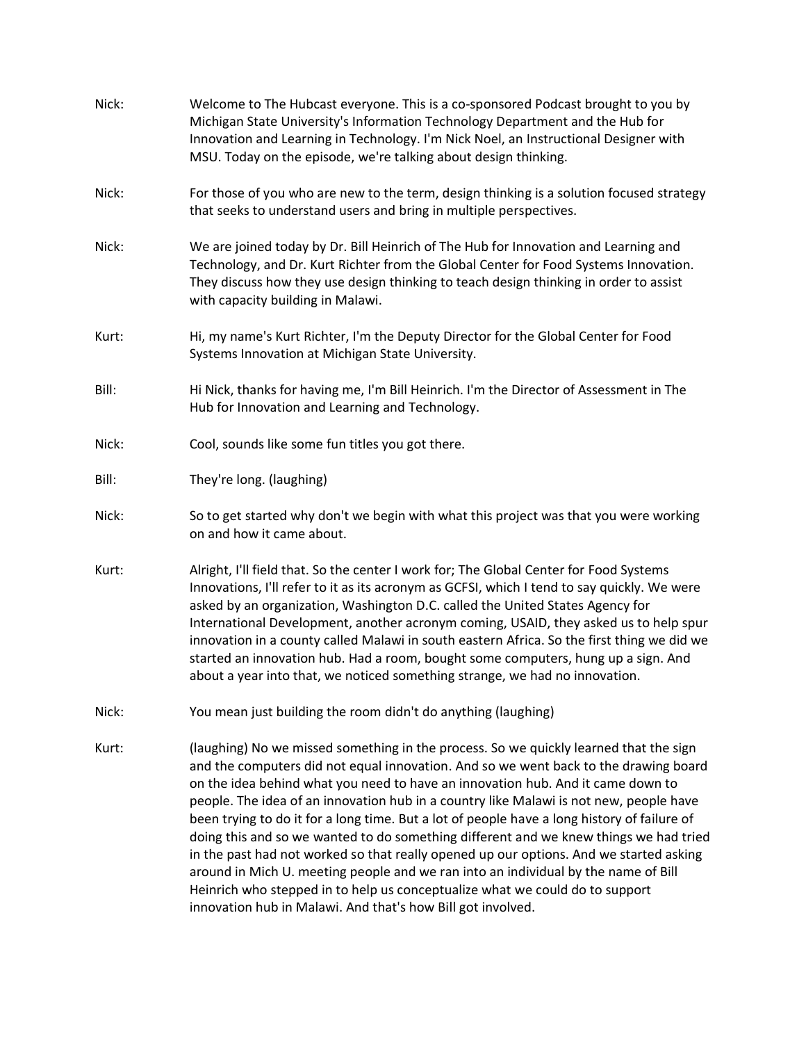| Nick: | Welcome to The Hubcast everyone. This is a co-sponsored Podcast brought to you by<br>Michigan State University's Information Technology Department and the Hub for<br>Innovation and Learning in Technology. I'm Nick Noel, an Instructional Designer with<br>MSU. Today on the episode, we're talking about design thinking.                                                                                                                                                                                                                                                                                                                                                                                                                                                                                                                                                     |
|-------|-----------------------------------------------------------------------------------------------------------------------------------------------------------------------------------------------------------------------------------------------------------------------------------------------------------------------------------------------------------------------------------------------------------------------------------------------------------------------------------------------------------------------------------------------------------------------------------------------------------------------------------------------------------------------------------------------------------------------------------------------------------------------------------------------------------------------------------------------------------------------------------|
| Nick: | For those of you who are new to the term, design thinking is a solution focused strategy<br>that seeks to understand users and bring in multiple perspectives.                                                                                                                                                                                                                                                                                                                                                                                                                                                                                                                                                                                                                                                                                                                    |
| Nick: | We are joined today by Dr. Bill Heinrich of The Hub for Innovation and Learning and<br>Technology, and Dr. Kurt Richter from the Global Center for Food Systems Innovation.<br>They discuss how they use design thinking to teach design thinking in order to assist<br>with capacity building in Malawi.                                                                                                                                                                                                                                                                                                                                                                                                                                                                                                                                                                         |
| Kurt: | Hi, my name's Kurt Richter, I'm the Deputy Director for the Global Center for Food<br>Systems Innovation at Michigan State University.                                                                                                                                                                                                                                                                                                                                                                                                                                                                                                                                                                                                                                                                                                                                            |
| Bill: | Hi Nick, thanks for having me, I'm Bill Heinrich. I'm the Director of Assessment in The<br>Hub for Innovation and Learning and Technology.                                                                                                                                                                                                                                                                                                                                                                                                                                                                                                                                                                                                                                                                                                                                        |
| Nick: | Cool, sounds like some fun titles you got there.                                                                                                                                                                                                                                                                                                                                                                                                                                                                                                                                                                                                                                                                                                                                                                                                                                  |
| Bill: | They're long. (laughing)                                                                                                                                                                                                                                                                                                                                                                                                                                                                                                                                                                                                                                                                                                                                                                                                                                                          |
| Nick: | So to get started why don't we begin with what this project was that you were working<br>on and how it came about.                                                                                                                                                                                                                                                                                                                                                                                                                                                                                                                                                                                                                                                                                                                                                                |
| Kurt: | Alright, I'll field that. So the center I work for; The Global Center for Food Systems<br>Innovations, I'll refer to it as its acronym as GCFSI, which I tend to say quickly. We were<br>asked by an organization, Washington D.C. called the United States Agency for<br>International Development, another acronym coming, USAID, they asked us to help spur<br>innovation in a county called Malawi in south eastern Africa. So the first thing we did we<br>started an innovation hub. Had a room, bought some computers, hung up a sign. And<br>about a year into that, we noticed something strange, we had no innovation.                                                                                                                                                                                                                                                  |
| Nick: | You mean just building the room didn't do anything (laughing)                                                                                                                                                                                                                                                                                                                                                                                                                                                                                                                                                                                                                                                                                                                                                                                                                     |
| Kurt: | (laughing) No we missed something in the process. So we quickly learned that the sign<br>and the computers did not equal innovation. And so we went back to the drawing board<br>on the idea behind what you need to have an innovation hub. And it came down to<br>people. The idea of an innovation hub in a country like Malawi is not new, people have<br>been trying to do it for a long time. But a lot of people have a long history of failure of<br>doing this and so we wanted to do something different and we knew things we had tried<br>in the past had not worked so that really opened up our options. And we started asking<br>around in Mich U. meeting people and we ran into an individual by the name of Bill<br>Heinrich who stepped in to help us conceptualize what we could do to support<br>innovation hub in Malawi. And that's how Bill got involved. |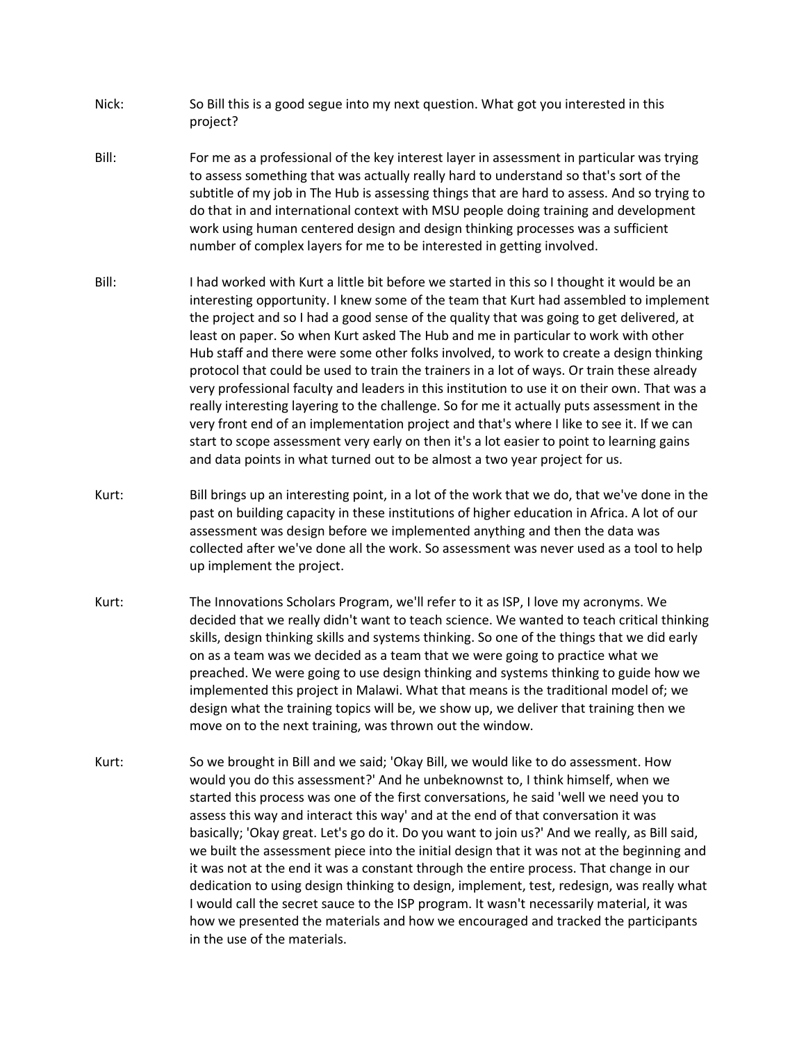- Nick: So Bill this is a good segue into my next question. What got you interested in this project?
- Bill: For me as a professional of the key interest layer in assessment in particular was trying to assess something that was actually really hard to understand so that's sort of the subtitle of my job in The Hub is assessing things that are hard to assess. And so trying to do that in and international context with MSU people doing training and development work using human centered design and design thinking processes was a sufficient number of complex layers for me to be interested in getting involved.
- Bill: I had worked with Kurt a little bit before we started in this so I thought it would be an interesting opportunity. I knew some of the team that Kurt had assembled to implement the project and so I had a good sense of the quality that was going to get delivered, at least on paper. So when Kurt asked The Hub and me in particular to work with other Hub staff and there were some other folks involved, to work to create a design thinking protocol that could be used to train the trainers in a lot of ways. Or train these already very professional faculty and leaders in this institution to use it on their own. That was a really interesting layering to the challenge. So for me it actually puts assessment in the very front end of an implementation project and that's where I like to see it. If we can start to scope assessment very early on then it's a lot easier to point to learning gains and data points in what turned out to be almost a two year project for us.
- Kurt: Bill brings up an interesting point, in a lot of the work that we do, that we've done in the past on building capacity in these institutions of higher education in Africa. A lot of our assessment was design before we implemented anything and then the data was collected after we've done all the work. So assessment was never used as a tool to help up implement the project.
- Kurt: The Innovations Scholars Program, we'll refer to it as ISP, I love my acronyms. We decided that we really didn't want to teach science. We wanted to teach critical thinking skills, design thinking skills and systems thinking. So one of the things that we did early on as a team was we decided as a team that we were going to practice what we preached. We were going to use design thinking and systems thinking to guide how we implemented this project in Malawi. What that means is the traditional model of; we design what the training topics will be, we show up, we deliver that training then we move on to the next training, was thrown out the window.
- Kurt: So we brought in Bill and we said; 'Okay Bill, we would like to do assessment. How would you do this assessment?' And he unbeknownst to, I think himself, when we started this process was one of the first conversations, he said 'well we need you to assess this way and interact this way' and at the end of that conversation it was basically; 'Okay great. Let's go do it. Do you want to join us?' And we really, as Bill said, we built the assessment piece into the initial design that it was not at the beginning and it was not at the end it was a constant through the entire process. That change in our dedication to using design thinking to design, implement, test, redesign, was really what I would call the secret sauce to the ISP program. It wasn't necessarily material, it was how we presented the materials and how we encouraged and tracked the participants in the use of the materials.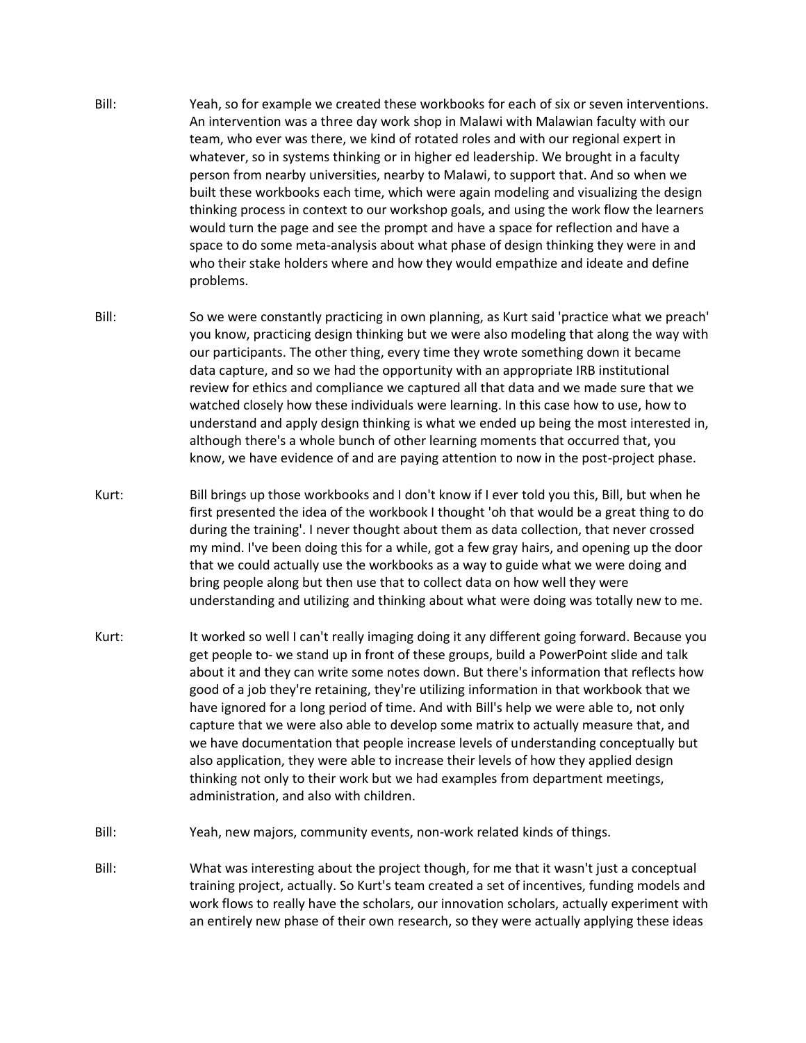- Bill: Yeah, so for example we created these workbooks for each of six or seven interventions. An intervention was a three day work shop in Malawi with Malawian faculty with our team, who ever was there, we kind of rotated roles and with our regional expert in whatever, so in systems thinking or in higher ed leadership. We brought in a faculty person from nearby universities, nearby to Malawi, to support that. And so when we built these workbooks each time, which were again modeling and visualizing the design thinking process in context to our workshop goals, and using the work flow the learners would turn the page and see the prompt and have a space for reflection and have a space to do some meta-analysis about what phase of design thinking they were in and who their stake holders where and how they would empathize and ideate and define problems.
- Bill: So we were constantly practicing in own planning, as Kurt said 'practice what we preach' you know, practicing design thinking but we were also modeling that along the way with our participants. The other thing, every time they wrote something down it became data capture, and so we had the opportunity with an appropriate IRB institutional review for ethics and compliance we captured all that data and we made sure that we watched closely how these individuals were learning. In this case how to use, how to understand and apply design thinking is what we ended up being the most interested in, although there's a whole bunch of other learning moments that occurred that, you know, we have evidence of and are paying attention to now in the post-project phase.
- Kurt: Bill brings up those workbooks and I don't know if I ever told you this, Bill, but when he first presented the idea of the workbook I thought 'oh that would be a great thing to do during the training'. I never thought about them as data collection, that never crossed my mind. I've been doing this for a while, got a few gray hairs, and opening up the door that we could actually use the workbooks as a way to guide what we were doing and bring people along but then use that to collect data on how well they were understanding and utilizing and thinking about what were doing was totally new to me.
- Kurt: It worked so well I can't really imaging doing it any different going forward. Because you get people to- we stand up in front of these groups, build a PowerPoint slide and talk about it and they can write some notes down. But there's information that reflects how good of a job they're retaining, they're utilizing information in that workbook that we have ignored for a long period of time. And with Bill's help we were able to, not only capture that we were also able to develop some matrix to actually measure that, and we have documentation that people increase levels of understanding conceptually but also application, they were able to increase their levels of how they applied design thinking not only to their work but we had examples from department meetings, administration, and also with children.
- Bill: Yeah, new majors, community events, non-work related kinds of things.
- Bill: What was interesting about the project though, for me that it wasn't just a conceptual training project, actually. So Kurt's team created a set of incentives, funding models and work flows to really have the scholars, our innovation scholars, actually experiment with an entirely new phase of their own research, so they were actually applying these ideas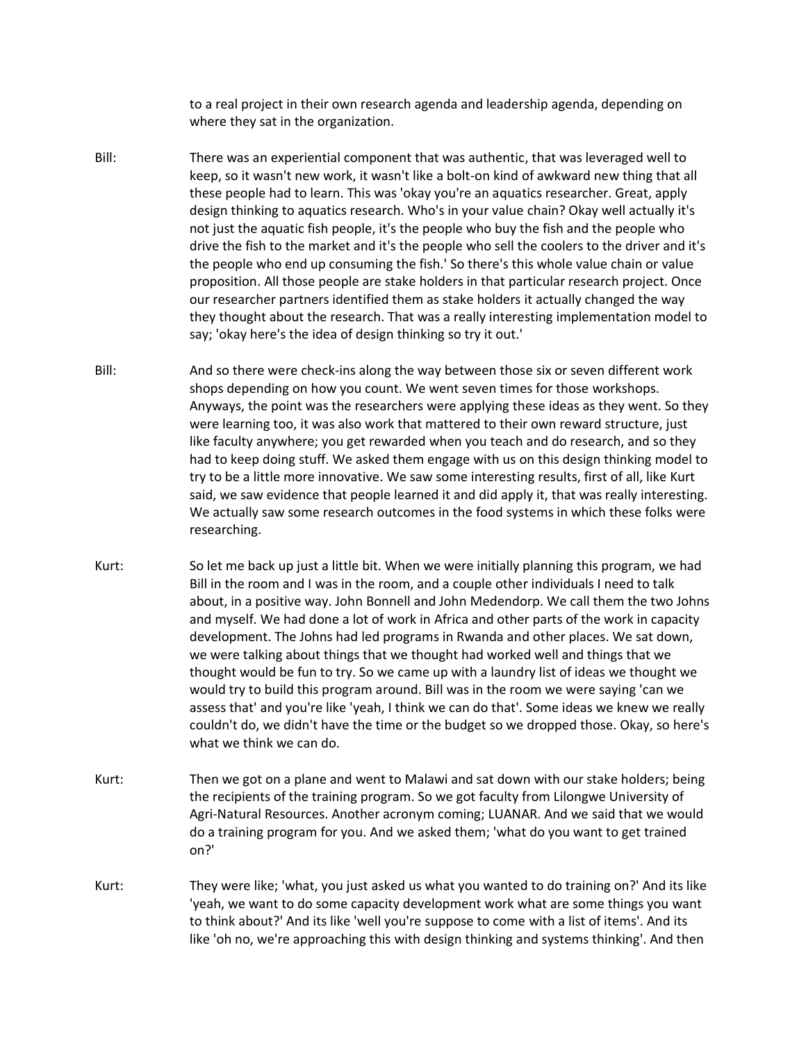to a real project in their own research agenda and leadership agenda, depending on where they sat in the organization.

- Bill: There was an experiential component that was authentic, that was leveraged well to keep, so it wasn't new work, it wasn't like a bolt-on kind of awkward new thing that all these people had to learn. This was 'okay you're an aquatics researcher. Great, apply design thinking to aquatics research. Who's in your value chain? Okay well actually it's not just the aquatic fish people, it's the people who buy the fish and the people who drive the fish to the market and it's the people who sell the coolers to the driver and it's the people who end up consuming the fish.' So there's this whole value chain or value proposition. All those people are stake holders in that particular research project. Once our researcher partners identified them as stake holders it actually changed the way they thought about the research. That was a really interesting implementation model to say; 'okay here's the idea of design thinking so try it out.'
- Bill: And so there were check-ins along the way between those six or seven different work shops depending on how you count. We went seven times for those workshops. Anyways, the point was the researchers were applying these ideas as they went. So they were learning too, it was also work that mattered to their own reward structure, just like faculty anywhere; you get rewarded when you teach and do research, and so they had to keep doing stuff. We asked them engage with us on this design thinking model to try to be a little more innovative. We saw some interesting results, first of all, like Kurt said, we saw evidence that people learned it and did apply it, that was really interesting. We actually saw some research outcomes in the food systems in which these folks were researching.
- Kurt: So let me back up just a little bit. When we were initially planning this program, we had Bill in the room and I was in the room, and a couple other individuals I need to talk about, in a positive way. John Bonnell and John Medendorp. We call them the two Johns and myself. We had done a lot of work in Africa and other parts of the work in capacity development. The Johns had led programs in Rwanda and other places. We sat down, we were talking about things that we thought had worked well and things that we thought would be fun to try. So we came up with a laundry list of ideas we thought we would try to build this program around. Bill was in the room we were saying 'can we assess that' and you're like 'yeah, I think we can do that'. Some ideas we knew we really couldn't do, we didn't have the time or the budget so we dropped those. Okay, so here's what we think we can do.
- Kurt: Then we got on a plane and went to Malawi and sat down with our stake holders; being the recipients of the training program. So we got faculty from Lilongwe University of Agri-Natural Resources. Another acronym coming; LUANAR. And we said that we would do a training program for you. And we asked them; 'what do you want to get trained on?'
- Kurt: They were like; 'what, you just asked us what you wanted to do training on?' And its like 'yeah, we want to do some capacity development work what are some things you want to think about?' And its like 'well you're suppose to come with a list of items'. And its like 'oh no, we're approaching this with design thinking and systems thinking'. And then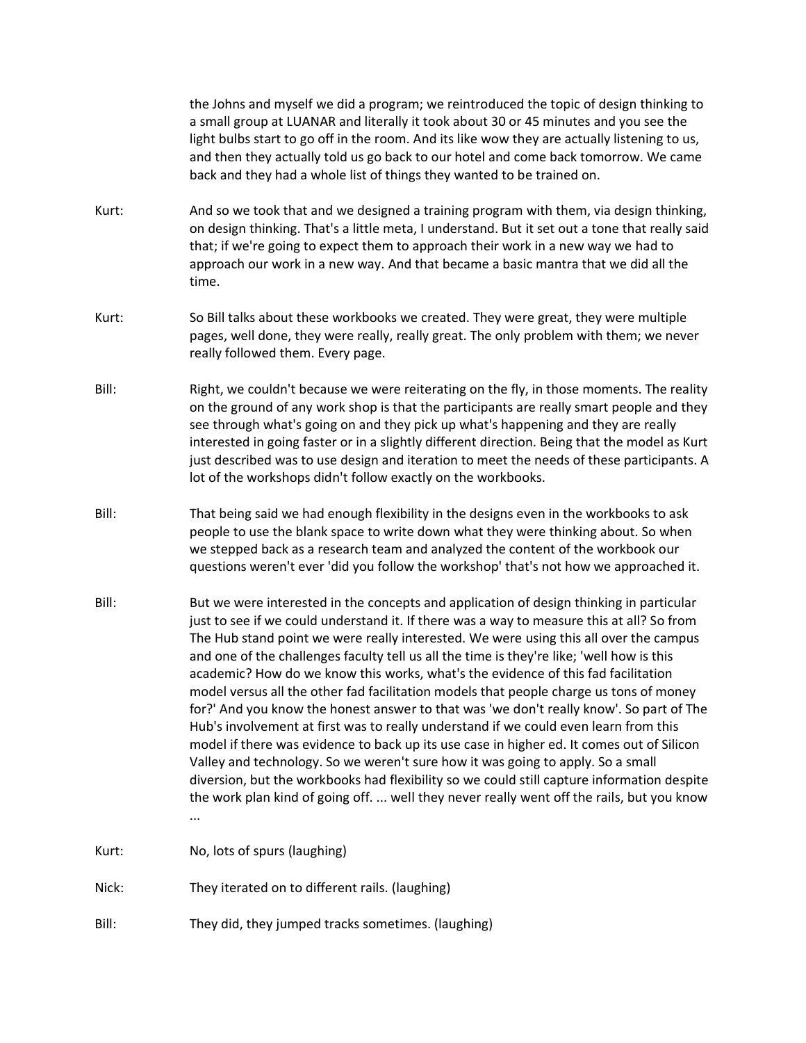the Johns and myself we did a program; we reintroduced the topic of design thinking to a small group at LUANAR and literally it took about 30 or 45 minutes and you see the light bulbs start to go off in the room. And its like wow they are actually listening to us, and then they actually told us go back to our hotel and come back tomorrow. We came back and they had a whole list of things they wanted to be trained on.

- Kurt: And so we took that and we designed a training program with them, via design thinking, on design thinking. That's a little meta, I understand. But it set out a tone that really said that; if we're going to expect them to approach their work in a new way we had to approach our work in a new way. And that became a basic mantra that we did all the time.
- Kurt: So Bill talks about these workbooks we created. They were great, they were multiple pages, well done, they were really, really great. The only problem with them; we never really followed them. Every page.
- Bill: Right, we couldn't because we were reiterating on the fly, in those moments. The reality on the ground of any work shop is that the participants are really smart people and they see through what's going on and they pick up what's happening and they are really interested in going faster or in a slightly different direction. Being that the model as Kurt just described was to use design and iteration to meet the needs of these participants. A lot of the workshops didn't follow exactly on the workbooks.
- Bill: That being said we had enough flexibility in the designs even in the workbooks to ask people to use the blank space to write down what they were thinking about. So when we stepped back as a research team and analyzed the content of the workbook our questions weren't ever 'did you follow the workshop' that's not how we approached it.
- Bill: But we were interested in the concepts and application of design thinking in particular just to see if we could understand it. If there was a way to measure this at all? So from The Hub stand point we were really interested. We were using this all over the campus and one of the challenges faculty tell us all the time is they're like; 'well how is this academic? How do we know this works, what's the evidence of this fad facilitation model versus all the other fad facilitation models that people charge us tons of money for?' And you know the honest answer to that was 'we don't really know'. So part of The Hub's involvement at first was to really understand if we could even learn from this model if there was evidence to back up its use case in higher ed. It comes out of Silicon Valley and technology. So we weren't sure how it was going to apply. So a small diversion, but the workbooks had flexibility so we could still capture information despite the work plan kind of going off. ... well they never really went off the rails, but you know ...
- Kurt: No, lots of spurs (laughing)
- Nick: They iterated on to different rails. (laughing)
- Bill: They did, they jumped tracks sometimes. (laughing)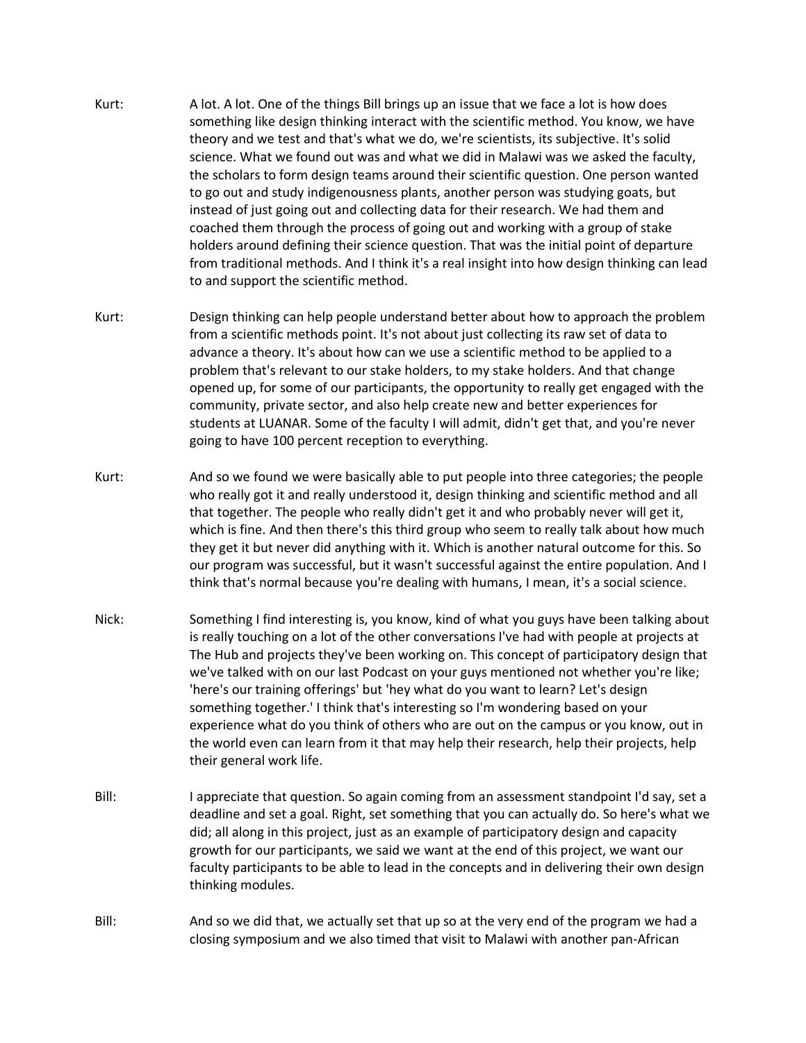- Kurt: A lot. A lot. One of the things Bill brings up an issue that we face a lot is how does something like design thinking interact with the scientific method. You know, we have theory and we test and that's what we do, we're scientists, its subjective. It's solid science. What we found out was and what we did in Malawi was we asked the faculty, the scholars to form design teams around their scientific question. One person wanted to go out and study indigenousness plants, another person was studying goats, but instead of just going out and collecting data for their research. We had them and coached them through the process of going out and working with a group of stake holders around defining their science question. That was the initial point of departure from traditional methods. And I think it's a real insight into how design thinking can lead to and support the scientific method.
- Kurt: Design thinking can help people understand better about how to approach the problem from a scientific methods point. It's not about just collecting its raw set of data to advance a theory. It's about how can we use a scientific method to be applied to a problem that's relevant to our stake holders, to my stake holders. And that change opened up, for some of our participants, the opportunity to really get engaged with the community, private sector, and also help create new and better experiences for students at LUANAR. Some of the faculty I will admit, didn't get that, and you're never going to have 100 percent reception to everything.
- Kurt: And so we found we were basically able to put people into three categories; the people who really got it and really understood it, design thinking and scientific method and all that together. The people who really didn't get it and who probably never will get it, which is fine. And then there's this third group who seem to really talk about how much they get it but never did anything with it. Which is another natural outcome for this. So our program was successful, but it wasn't successful against the entire population. And I think that's normal because you're dealing with humans, I mean, it's a social science.
- Nick: Something I find interesting is, you know, kind of what you guys have been talking about is really touching on a lot of the other conversations I've had with people at projects at The Hub and projects they've been working on. This concept of participatory design that we've talked with on our last Podcast on your guys mentioned not whether you're like; 'here's our training offerings' but 'hey what do you want to learn? Let's design something together.' I think that's interesting so I'm wondering based on your experience what do you think of others who are out on the campus or you know, out in the world even can learn from it that may help their research, help their projects, help their general work life.
- Bill: I appreciate that question. So again coming from an assessment standpoint I'd say, set a deadline and set a goal. Right, set something that you can actually do. So here's what we did; all along in this project, just as an example of participatory design and capacity growth for our participants, we said we want at the end of this project, we want our faculty participants to be able to lead in the concepts and in delivering their own design thinking modules.
- Bill: And so we did that, we actually set that up so at the very end of the program we had a closing symposium and we also timed that visit to Malawi with another pan-African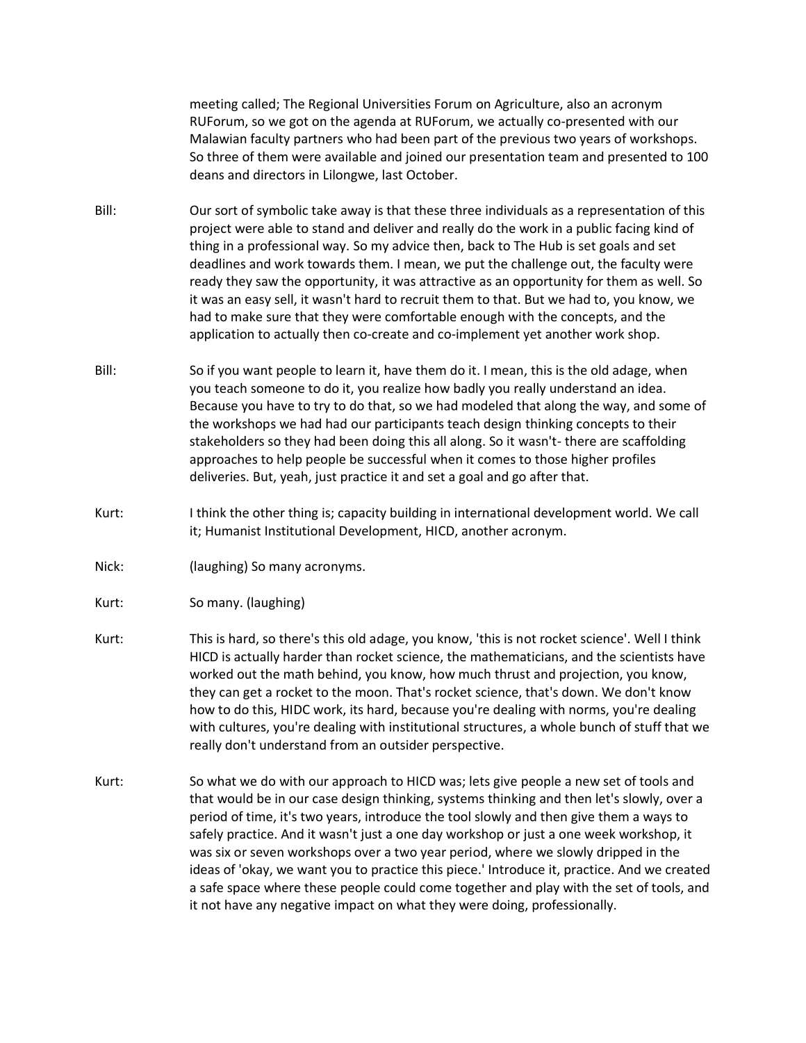meeting called; The Regional Universities Forum on Agriculture, also an acronym RUForum, so we got on the agenda at RUForum, we actually co-presented with our Malawian faculty partners who had been part of the previous two years of workshops. So three of them were available and joined our presentation team and presented to 100 deans and directors in Lilongwe, last October.

- Bill: Our sort of symbolic take away is that these three individuals as a representation of this project were able to stand and deliver and really do the work in a public facing kind of thing in a professional way. So my advice then, back to The Hub is set goals and set deadlines and work towards them. I mean, we put the challenge out, the faculty were ready they saw the opportunity, it was attractive as an opportunity for them as well. So it was an easy sell, it wasn't hard to recruit them to that. But we had to, you know, we had to make sure that they were comfortable enough with the concepts, and the application to actually then co-create and co-implement yet another work shop.
- Bill: So if you want people to learn it, have them do it. I mean, this is the old adage, when you teach someone to do it, you realize how badly you really understand an idea. Because you have to try to do that, so we had modeled that along the way, and some of the workshops we had had our participants teach design thinking concepts to their stakeholders so they had been doing this all along. So it wasn't- there are scaffolding approaches to help people be successful when it comes to those higher profiles deliveries. But, yeah, just practice it and set a goal and go after that.
- Kurt: I think the other thing is; capacity building in international development world. We call it; Humanist Institutional Development, HICD, another acronym.
- Nick: (laughing) So many acronyms.

Kurt: So many. (laughing)

- Kurt: This is hard, so there's this old adage, you know, 'this is not rocket science'. Well I think HICD is actually harder than rocket science, the mathematicians, and the scientists have worked out the math behind, you know, how much thrust and projection, you know, they can get a rocket to the moon. That's rocket science, that's down. We don't know how to do this, HIDC work, its hard, because you're dealing with norms, you're dealing with cultures, you're dealing with institutional structures, a whole bunch of stuff that we really don't understand from an outsider perspective.
- Kurt: So what we do with our approach to HICD was; lets give people a new set of tools and that would be in our case design thinking, systems thinking and then let's slowly, over a period of time, it's two years, introduce the tool slowly and then give them a ways to safely practice. And it wasn't just a one day workshop or just a one week workshop, it was six or seven workshops over a two year period, where we slowly dripped in the ideas of 'okay, we want you to practice this piece.' Introduce it, practice. And we created a safe space where these people could come together and play with the set of tools, and it not have any negative impact on what they were doing, professionally.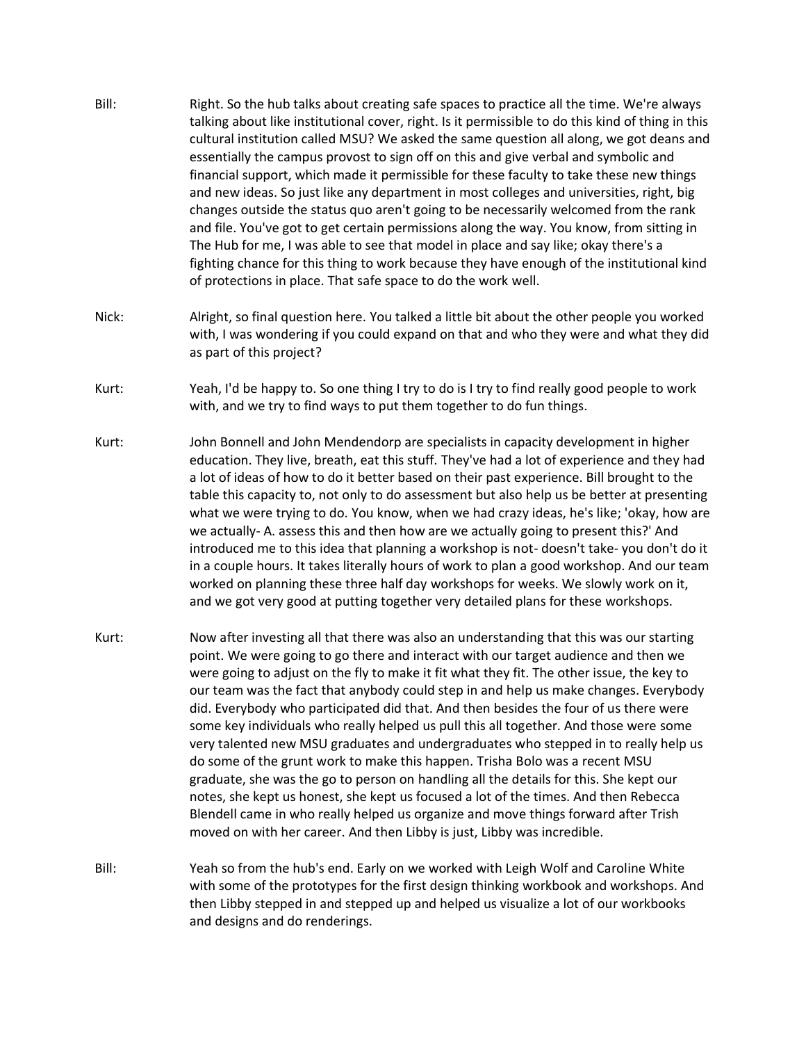- Bill: Right. So the hub talks about creating safe spaces to practice all the time. We're always talking about like institutional cover, right. Is it permissible to do this kind of thing in this cultural institution called MSU? We asked the same question all along, we got deans and essentially the campus provost to sign off on this and give verbal and symbolic and financial support, which made it permissible for these faculty to take these new things and new ideas. So just like any department in most colleges and universities, right, big changes outside the status quo aren't going to be necessarily welcomed from the rank and file. You've got to get certain permissions along the way. You know, from sitting in The Hub for me, I was able to see that model in place and say like; okay there's a fighting chance for this thing to work because they have enough of the institutional kind of protections in place. That safe space to do the work well.
- Nick: Alright, so final question here. You talked a little bit about the other people you worked with, I was wondering if you could expand on that and who they were and what they did as part of this project?
- Kurt: Yeah, I'd be happy to. So one thing I try to do is I try to find really good people to work with, and we try to find ways to put them together to do fun things.
- Kurt: John Bonnell and John Mendendorp are specialists in capacity development in higher education. They live, breath, eat this stuff. They've had a lot of experience and they had a lot of ideas of how to do it better based on their past experience. Bill brought to the table this capacity to, not only to do assessment but also help us be better at presenting what we were trying to do. You know, when we had crazy ideas, he's like; 'okay, how are we actually- A. assess this and then how are we actually going to present this?' And introduced me to this idea that planning a workshop is not- doesn't take- you don't do it in a couple hours. It takes literally hours of work to plan a good workshop. And our team worked on planning these three half day workshops for weeks. We slowly work on it, and we got very good at putting together very detailed plans for these workshops.
- Kurt: Now after investing all that there was also an understanding that this was our starting point. We were going to go there and interact with our target audience and then we were going to adjust on the fly to make it fit what they fit. The other issue, the key to our team was the fact that anybody could step in and help us make changes. Everybody did. Everybody who participated did that. And then besides the four of us there were some key individuals who really helped us pull this all together. And those were some very talented new MSU graduates and undergraduates who stepped in to really help us do some of the grunt work to make this happen. Trisha Bolo was a recent MSU graduate, she was the go to person on handling all the details for this. She kept our notes, she kept us honest, she kept us focused a lot of the times. And then Rebecca Blendell came in who really helped us organize and move things forward after Trish moved on with her career. And then Libby is just, Libby was incredible.
- Bill: Yeah so from the hub's end. Early on we worked with Leigh Wolf and Caroline White with some of the prototypes for the first design thinking workbook and workshops. And then Libby stepped in and stepped up and helped us visualize a lot of our workbooks and designs and do renderings.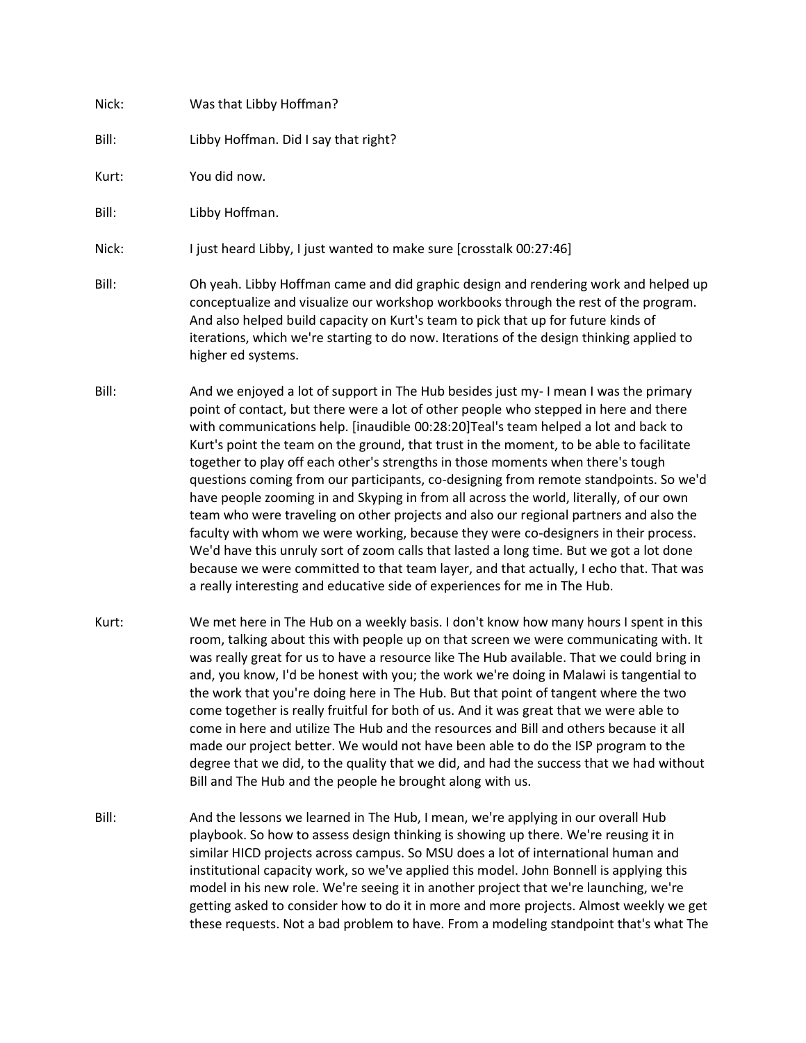| Nick: | Was that Libby Hoffman?                                                                                                                                                                                                                                                                                                                                                                                                                                                                                                                                                                                                                                                                                                                                                                                                                                                                                                                                                                                 |
|-------|---------------------------------------------------------------------------------------------------------------------------------------------------------------------------------------------------------------------------------------------------------------------------------------------------------------------------------------------------------------------------------------------------------------------------------------------------------------------------------------------------------------------------------------------------------------------------------------------------------------------------------------------------------------------------------------------------------------------------------------------------------------------------------------------------------------------------------------------------------------------------------------------------------------------------------------------------------------------------------------------------------|
| Bill: | Libby Hoffman. Did I say that right?                                                                                                                                                                                                                                                                                                                                                                                                                                                                                                                                                                                                                                                                                                                                                                                                                                                                                                                                                                    |
| Kurt: | You did now.                                                                                                                                                                                                                                                                                                                                                                                                                                                                                                                                                                                                                                                                                                                                                                                                                                                                                                                                                                                            |
| Bill: | Libby Hoffman.                                                                                                                                                                                                                                                                                                                                                                                                                                                                                                                                                                                                                                                                                                                                                                                                                                                                                                                                                                                          |
| Nick: | I just heard Libby, I just wanted to make sure [crosstalk 00:27:46]                                                                                                                                                                                                                                                                                                                                                                                                                                                                                                                                                                                                                                                                                                                                                                                                                                                                                                                                     |
| Bill: | Oh yeah. Libby Hoffman came and did graphic design and rendering work and helped up<br>conceptualize and visualize our workshop workbooks through the rest of the program.<br>And also helped build capacity on Kurt's team to pick that up for future kinds of<br>iterations, which we're starting to do now. Iterations of the design thinking applied to<br>higher ed systems.                                                                                                                                                                                                                                                                                                                                                                                                                                                                                                                                                                                                                       |
| Bill: | And we enjoyed a lot of support in The Hub besides just my-I mean I was the primary<br>point of contact, but there were a lot of other people who stepped in here and there<br>with communications help. [inaudible 00:28:20]Teal's team helped a lot and back to<br>Kurt's point the team on the ground, that trust in the moment, to be able to facilitate<br>together to play off each other's strengths in those moments when there's tough<br>questions coming from our participants, co-designing from remote standpoints. So we'd<br>have people zooming in and Skyping in from all across the world, literally, of our own<br>team who were traveling on other projects and also our regional partners and also the<br>faculty with whom we were working, because they were co-designers in their process.<br>We'd have this unruly sort of zoom calls that lasted a long time. But we got a lot done<br>because we were committed to that team layer, and that actually, I echo that. That was |

Kurt: We met here in The Hub on a weekly basis. I don't know how many hours I spent in this room, talking about this with people up on that screen we were communicating with. It was really great for us to have a resource like The Hub available. That we could bring in and, you know, I'd be honest with you; the work we're doing in Malawi is tangential to the work that you're doing here in The Hub. But that point of tangent where the two come together is really fruitful for both of us. And it was great that we were able to come in here and utilize The Hub and the resources and Bill and others because it all made our project better. We would not have been able to do the ISP program to the degree that we did, to the quality that we did, and had the success that we had without Bill and The Hub and the people he brought along with us.

a really interesting and educative side of experiences for me in The Hub.

Bill: And the lessons we learned in The Hub, I mean, we're applying in our overall Hub playbook. So how to assess design thinking is showing up there. We're reusing it in similar HICD projects across campus. So MSU does a lot of international human and institutional capacity work, so we've applied this model. John Bonnell is applying this model in his new role. We're seeing it in another project that we're launching, we're getting asked to consider how to do it in more and more projects. Almost weekly we get these requests. Not a bad problem to have. From a modeling standpoint that's what The